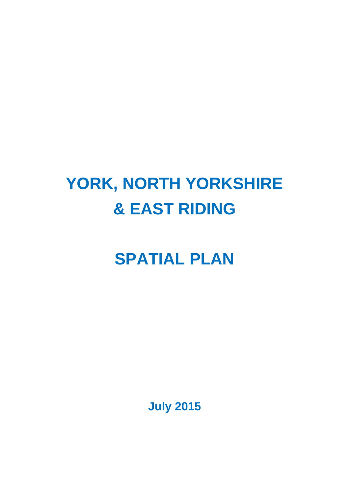# **YORK, NORTH YORKSHIRE & EAST RIDING**

# **SPATIAL PLAN**

**July 2015**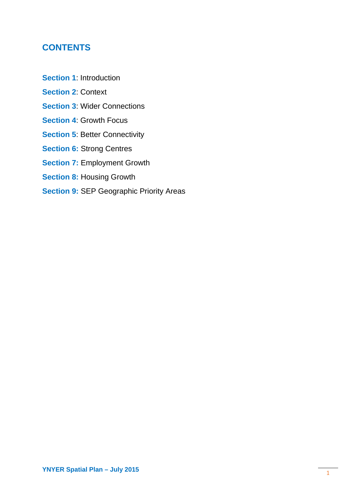## **CONTENTS**

- **Section 1**: Introduction
- **Section 2**: Context
- **Section 3**: Wider Connections
- **Section 4**: Growth Focus
- **Section 5: Better Connectivity**
- **Section 6: Strong Centres**
- **Section 7:** Employment Growth
- **Section 8:** Housing Growth
- **Section 9: SEP Geographic Priority Areas**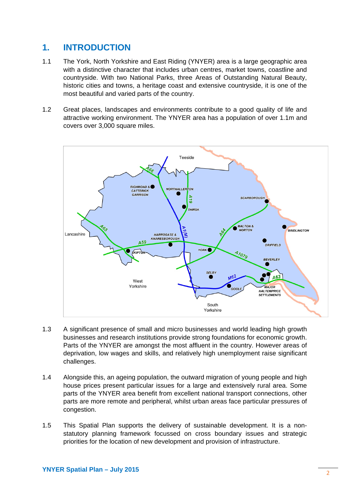## **1. INTRODUCTION**

- 1.1 The York, North Yorkshire and East Riding (YNYER) area is a large geographic area with a distinctive character that includes urban centres, market towns, coastline and countryside. With two National Parks, three Areas of Outstanding Natural Beauty, historic cities and towns, a heritage coast and extensive countryside, it is one of the most beautiful and varied parts of the country.
- 1.2 Great places, landscapes and environments contribute to a good quality of life and attractive working environment. The YNYER area has a population of over 1.1m and covers over 3,000 square miles.



- 1.3 A significant presence of small and micro businesses and world leading high growth businesses and research institutions provide strong foundations for economic growth. Parts of the YNYER are amongst the most affluent in the country. However areas of deprivation, low wages and skills, and relatively high unemployment raise significant challenges.
- 1.4 Alongside this, an ageing population, the outward migration of young people and high house prices present particular issues for a large and extensively rural area. Some parts of the YNYER area benefit from excellent national transport connections, other parts are more remote and peripheral, whilst urban areas face particular pressures of congestion.
- 1.5 This Spatial Plan supports the delivery of sustainable development. It is a nonstatutory planning framework focussed on cross boundary issues and strategic priorities for the location of new development and provision of infrastructure.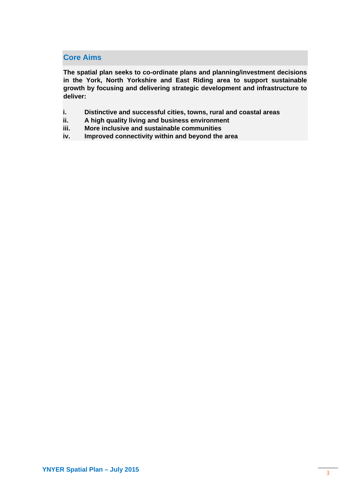## **Core Aims**

**The spatial plan seeks to co-ordinate plans and planning/investment decisions in the York, North Yorkshire and East Riding area to support sustainable growth by focusing and delivering strategic development and infrastructure to deliver:** 

- **i. Distinctive and successful cities, towns, rural and coastal areas**
- **ii. A high quality living and business environment**
- **iii. More inclusive and sustainable communities**
- **iv. Improved connectivity within and beyond the area**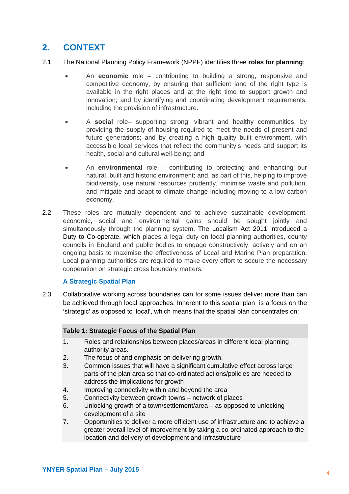# **2. CONTEXT**

- 2.1 The National Planning Policy Framework (NPPF) identifies three **roles for planning**:
	- An **economic** role contributing to building a strong, responsive and competitive economy, by ensuring that sufficient land of the right type is available in the right places and at the right time to support growth and innovation; and by identifying and coordinating development requirements, including the provision of infrastructure.
	- A **social** role– supporting strong, vibrant and healthy communities, by providing the supply of housing required to meet the needs of present and future generations; and by creating a high quality built environment, with accessible local services that reflect the community's needs and support its health, social and cultural well-being; and
	- An **environmental** role contributing to protecting and enhancing our natural, built and historic environment; and, as part of this, helping to improve biodiversity, use natural resources prudently, minimise waste and pollution, and mitigate and adapt to climate change including moving to a low carbon economy.
- 2.2 These roles are mutually dependent and to achieve sustainable development, economic, social and environmental gains should be sought jointly and simultaneously through the planning system. The Localism Act 2011 introduced a Duty to Co-operate, which places a legal duty on local planning authorities, county councils in England and public bodies to engage constructively, actively and on an ongoing basis to maximise the effectiveness of Local and Marine Plan preparation. Local planning authorities are required to make every effort to secure the necessary cooperation on strategic cross boundary matters.

#### **A Strategic Spatial Plan**

2.3 Collaborative working across boundaries can for some issues deliver more than can be achieved through local approaches. Inherent to this spatial plan is a focus on the 'strategic' as opposed to 'local', which means that the spatial plan concentrates on:

#### **Table 1: Strategic Focus of the Spatial Plan**

- 1. Roles and relationships between places/areas in different local planning authority areas.
- 2. The focus of and emphasis on delivering growth.
- 3. Common issues that will have a significant cumulative effect across large parts of the plan area so that co-ordinated actions/policies are needed to address the implications for growth
- 4. Improving connectivity within and beyond the area
- 5. Connectivity between growth towns network of places
- 6. Unlocking growth of a town/settlement/area as opposed to unlocking development of a site
- 7. Opportunities to deliver a more efficient use of infrastructure and to achieve a greater overall level of improvement by taking a co-ordinated approach to the location and delivery of development and infrastructure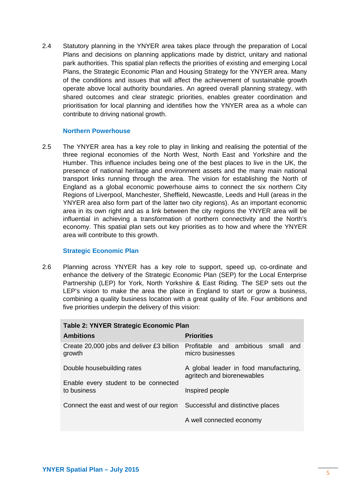2.4 Statutory planning in the YNYER area takes place through the preparation of Local Plans and decisions on planning applications made by district, unitary and national park authorities. This spatial plan reflects the priorities of existing and emerging Local Plans, the Strategic Economic Plan and Housing Strategy for the YNYER area. Many of the conditions and issues that will affect the achievement of sustainable growth operate above local authority boundaries. An agreed overall planning strategy, with shared outcomes and clear strategic priorities, enables greater coordination and prioritisation for local planning and identifies how the YNYER area as a whole can contribute to driving national growth.

#### **Northern Powerhouse**

2.5 The YNYER area has a key role to play in linking and realising the potential of the three regional economies of the North West, North East and Yorkshire and the Humber. This influence includes being one of the best places to live in the UK, the presence of national heritage and environment assets and the many main national transport links running through the area. The vision for establishing the North of England as a global economic powerhouse aims to connect the six northern City Regions of Liverpool, Manchester, Sheffield, Newcastle, Leeds and Hull (areas in the YNYER area also form part of the latter two city regions). As an important economic area in its own right and as a link between the city regions the YNYER area will be influential in achieving a transformation of northern connectivity and the North's economy. This spatial plan sets out key priorities as to how and where the YNYER area will contribute to this growth.

#### **Strategic Economic Plan**

2.6 Planning across YNYER has a key role to support, speed up, co-ordinate and enhance the delivery of the Strategic Economic Plan (SEP) for the Local Enterprise Partnership (LEP) for York, North Yorkshire & East Riding. The SEP sets out the LEP's vision to make the area the place in England to start or grow a business, combining a quality business location with a great quality of life. Four ambitions and five priorities underpin the delivery of this vision:

| <b>Table 2: YNYER Strategic Economic Plan</b>                             |                                                                      |  |
|---------------------------------------------------------------------------|----------------------------------------------------------------------|--|
| <b>Ambitions</b>                                                          | <b>Priorities</b>                                                    |  |
| Create 20,000 jobs and deliver £3 billion<br>growth                       | Profitable and ambitious small and<br>micro businesses               |  |
| Double housebuilding rates                                                | A global leader in food manufacturing,<br>agritech and biorenewables |  |
| Enable every student to be connected<br>to business                       | Inspired people                                                      |  |
| Connect the east and west of our region Successful and distinctive places |                                                                      |  |
|                                                                           | A well connected economy                                             |  |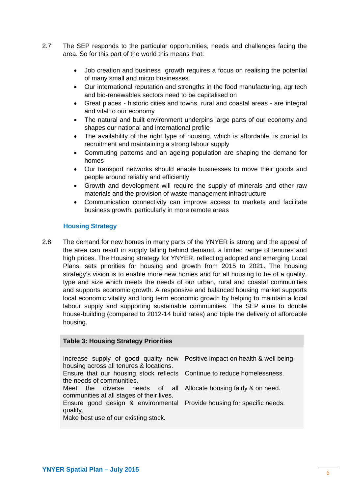- 2.7 The SEP responds to the particular opportunities, needs and challenges facing the area. So for this part of the world this means that:
	- Job creation and business growth requires a focus on realising the potential of many small and micro businesses
	- Our international reputation and strengths in the food manufacturing, agritech and bio-renewables sectors need to be capitalised on
	- Great places historic cities and towns, rural and coastal areas are integral and vital to our economy
	- The natural and built environment underpins large parts of our economy and shapes our national and international profile
	- The availability of the right type of housing, which is affordable, is crucial to recruitment and maintaining a strong labour supply
	- Commuting patterns and an ageing population are shaping the demand for homes
	- Our transport networks should enable businesses to move their goods and people around reliably and efficiently
	- Growth and development will require the supply of minerals and other raw materials and the provision of waste management infrastructure
	- Communication connectivity can improve access to markets and facilitate business growth, particularly in more remote areas

#### **Housing Strategy**

2.8 The demand for new homes in many parts of the YNYER is strong and the appeal of the area can result in supply falling behind demand, a limited range of tenures and high prices. The Housing strategy for YNYER, reflecting adopted and emerging Local Plans, sets priorities for housing and growth from 2015 to 2021. The housing strategy's vision is to enable more new homes and for all housing to be of a quality, type and size which meets the needs of our urban, rural and coastal communities and supports economic growth. A responsive and balanced housing market supports local economic vitality and long term economic growth by helping to maintain a local labour supply and supporting sustainable communities. The SEP aims to double house-building (compared to 2012-14 build rates) and triple the delivery of affordable housing.

#### **Table 3: Housing Strategy Priorities**

Increase supply of good quality new Positive impact on health & well being. housing across all tenures & locations. Ensure that our housing stock reflects Continue to reduce homelessness. the needs of communities. Meet the diverse needs of all Allocate housing fairly & on need. communities at all stages of their lives. Ensure good design & environmental Provide housing for specific needs. quality. Make best use of our existing stock.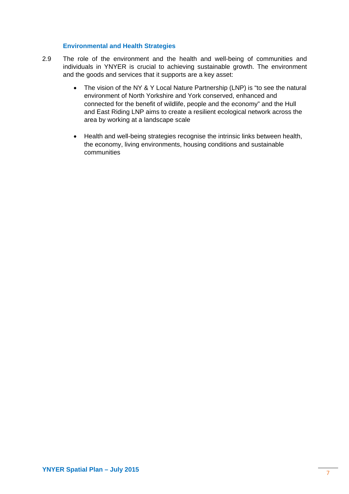#### **Environmental and Health Strategies**

- 2.9 The role of the environment and the health and well-being of communities and individuals in YNYER is crucial to achieving sustainable growth. The environment and the goods and services that it supports are a key asset:
	- The vision of the NY & Y Local Nature Partnership (LNP) is "to see the natural environment of North Yorkshire and York conserved, enhanced and connected for the benefit of wildlife, people and the economy" and the Hull and East Riding LNP aims to create a resilient ecological network across the area by working at a landscape scale
	- Health and well-being strategies recognise the intrinsic links between health, the economy, living environments, housing conditions and sustainable communities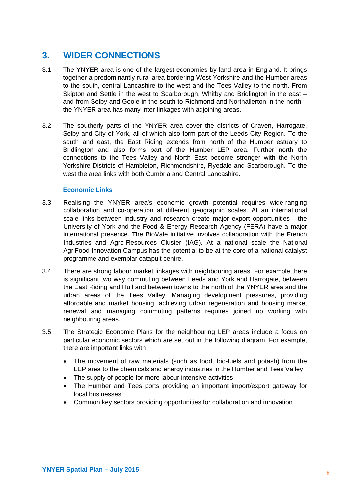## **3. WIDER CONNECTIONS**

- 3.1 The YNYER area is one of the largest economies by land area in England. It brings together a predominantly rural area bordering West Yorkshire and the Humber areas to the south, central Lancashire to the west and the Tees Valley to the north. From Skipton and Settle in the west to Scarborough, Whitby and Bridlington in the east – and from Selby and Goole in the south to Richmond and Northallerton in the north – the YNYER area has many inter-linkages with adjoining areas.
- 3.2 The southerly parts of the YNYER area cover the districts of Craven, Harrogate, Selby and City of York, all of which also form part of the Leeds City Region. To the south and east, the East Riding extends from north of the Humber estuary to Bridlington and also forms part of the Humber LEP area. Further north the connections to the Tees Valley and North East become stronger with the North Yorkshire Districts of Hambleton, Richmondshire, Ryedale and Scarborough. To the west the area links with both Cumbria and Central Lancashire.

#### **Economic Links**

- 3.3 Realising the YNYER area's economic growth potential requires wide-ranging collaboration and co-operation at different geographic scales. At an international scale links between industry and research create major export opportunities - the University of York and the Food & Energy Research Agency (FERA) have a major international presence. The BioVale initiative involves collaboration with the French Industries and Agro-Resources Cluster (IAG). At a national scale the National AgriFood Innovation Campus has the potential to be at the core of a national catalyst programme and exemplar catapult centre.
- 3.4 There are strong labour market linkages with neighbouring areas. For example there is significant two way commuting between Leeds and York and Harrogate, between the East Riding and Hull and between towns to the north of the YNYER area and the urban areas of the Tees Valley. Managing development pressures, providing affordable and market housing, achieving urban regeneration and housing market renewal and managing commuting patterns requires joined up working with neighbouring areas.
- 3.5 The Strategic Economic Plans for the neighbouring LEP areas include a focus on particular economic sectors which are set out in the following diagram. For example, there are important links with
	- The movement of raw materials (such as food, bio-fuels and potash) from the LEP area to the chemicals and energy industries in the Humber and Tees Valley
	- The supply of people for more labour intensive activities
	- The Humber and Tees ports providing an important import/export gateway for local businesses
	- Common key sectors providing opportunities for collaboration and innovation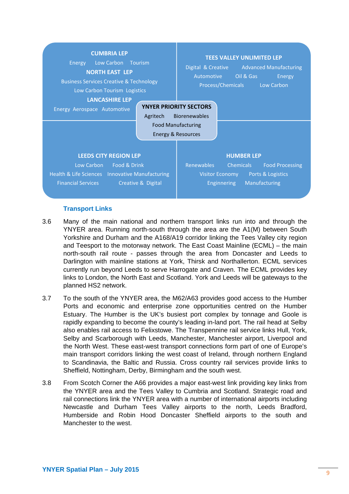

#### **Transport Links**

- 3.6 Many of the main national and northern transport links run into and through the YNYER area. Running north-south through the area are the A1(M) between South Yorkshire and Durham and the A168/A19 corridor linking the Tees Valley city region and Teesport to the motorway network. The East Coast Mainline (ECML) – the main north-south rail route - passes through the area from Doncaster and Leeds to Darlington with mainline stations at York, Thirsk and Northallerton. ECML services currently run beyond Leeds to serve Harrogate and Craven. The ECML provides key links to London, the North East and Scotland. York and Leeds will be gateways to the planned HS2 network.
- 3.7 To the south of the YNYER area, the M62/A63 provides good access to the Humber Ports and economic and enterprise zone opportunities centred on the Humber Estuary. The Humber is the UK's busiest port complex by tonnage and Goole is rapidly expanding to become the county's leading in-land port. The rail head at Selby also enables rail access to Felixstowe. The Transpennine rail service links Hull, York, Selby and Scarborough with Leeds, Manchester, Manchester airport, Liverpool and the North West. These east-west transport connections form part of one of Europe's main transport corridors linking the west coast of Ireland, through northern England to Scandinavia, the Baltic and Russia. Cross country rail services provide links to Sheffield, Nottingham, Derby, Birmingham and the south west.
- 3.8 From Scotch Corner the A66 provides a major east-west link providing key links from the YNYER area and the Tees Valley to Cumbria and Scotland. Strategic road and rail connections link the YNYER area with a number of international airports including Newcastle and Durham Tees Valley airports to the north, Leeds Bradford, Humberside and Robin Hood Doncaster Sheffield airports to the south and Manchester to the west.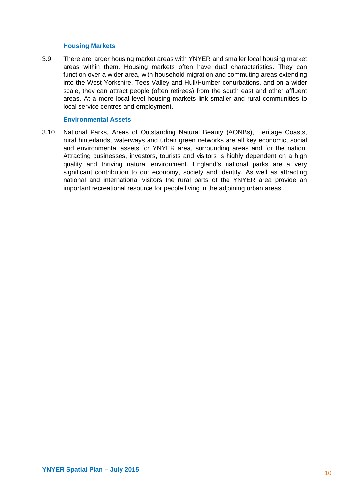#### **Housing Markets**

3.9 There are larger housing market areas with YNYER and smaller local housing market areas within them. Housing markets often have dual characteristics. They can function over a wider area, with household migration and commuting areas extending into the West Yorkshire, Tees Valley and Hull/Humber conurbations, and on a wider scale, they can attract people (often retirees) from the south east and other affluent areas. At a more local level housing markets link smaller and rural communities to local service centres and employment.

#### **Environmental Assets**

3.10 National Parks, Areas of Outstanding Natural Beauty (AONBs), Heritage Coasts, rural hinterlands, waterways and urban green networks are all key economic, social and environmental assets for YNYER area, surrounding areas and for the nation. Attracting businesses, investors, tourists and visitors is highly dependent on a high quality and thriving natural environment. England's national parks are a very significant contribution to our economy, society and identity. As well as attracting national and international visitors the rural parts of the YNYER area provide an important recreational resource for people living in the adjoining urban areas.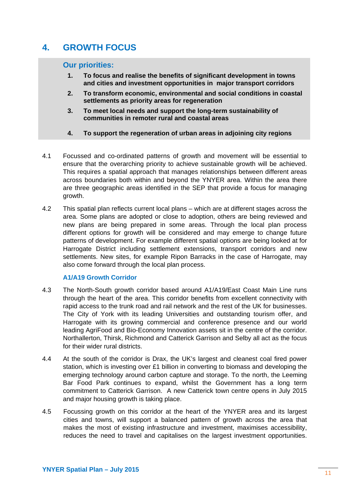# **4. GROWTH FOCUS**

#### **Our priorities:**

- **1. To focus and realise the benefits of significant development in towns and cities and investment opportunities in major transport corridors**
- **2. To transform economic, environmental and social conditions in coastal settlements as priority areas for regeneration**
- **3. To meet local needs and support the long-term sustainability of communities in remoter rural and coastal areas**
- **4. To support the regeneration of urban areas in adjoining city regions**
- 4.1 Focussed and co-ordinated patterns of growth and movement will be essential to ensure that the overarching priority to achieve sustainable growth will be achieved. This requires a spatial approach that manages relationships between different areas across boundaries both within and beyond the YNYER area. Within the area there are three geographic areas identified in the SEP that provide a focus for managing growth.
- 4.2 This spatial plan reflects current local plans which are at different stages across the area. Some plans are adopted or close to adoption, others are being reviewed and new plans are being prepared in some areas. Through the local plan process different options for growth will be considered and may emerge to change future patterns of development. For example different spatial options are being looked at for Harrogate District including settlement extensions, transport corridors and new settlements. New sites, for example Ripon Barracks in the case of Harrogate, may also come forward through the local plan process.

#### **A1/A19 Growth Corridor**

- 4.3 The North-South growth corridor based around A1/A19/East Coast Main Line runs through the heart of the area. This corridor benefits from excellent connectivity with rapid access to the trunk road and rail network and the rest of the UK for businesses. The City of York with its leading Universities and outstanding tourism offer, and Harrogate with its growing commercial and conference presence and our world leading AgriFood and Bio-Economy Innovation assets sit in the centre of the corridor. Northallerton, Thirsk, Richmond and Catterick Garrison and Selby all act as the focus for their wider rural districts.
- 4.4 At the south of the corridor is Drax, the UK's largest and cleanest coal fired power station, which is investing over £1 billion in converting to biomass and developing the emerging technology around carbon capture and storage. To the north, the Leeming Bar Food Park continues to expand, whilst the Government has a long term commitment to Catterick Garrison. A new Catterick town centre opens in July 2015 and major housing growth is taking place.
- 4.5 Focussing growth on this corridor at the heart of the YNYER area and its largest cities and towns, will support a balanced pattern of growth across the area that makes the most of existing infrastructure and investment, maximises accessibility, reduces the need to travel and capitalises on the largest investment opportunities.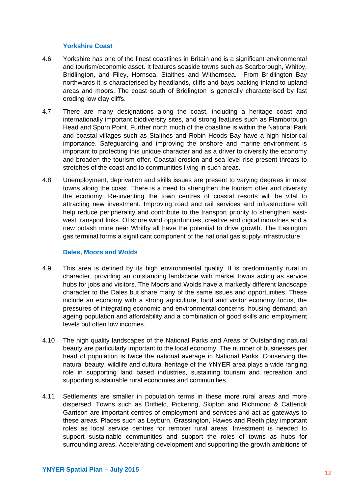#### **Yorkshire Coast**

- 4.6 Yorkshire has one of the finest coastlines in Britain and is a significant environmental and tourism/economic asset. It features seaside towns such as Scarborough, Whitby, Bridlington, and Filey, Hornsea, Staithes and Withernsea. From Bridlington Bay northwards it is characterised by headlands, cliffs and bays backing inland to upland areas and moors. The coast south of Bridlington is generally characterised by fast eroding low clay cliffs.
- 4.7 There are many designations along the coast, including a heritage coast and internationally important biodiversity sites, and strong features such as Flamborough Head and Spurn Point. Further north much of the coastline is within the National Park and coastal villages such as Staithes and Robin Hoods Bay have a high historical importance. Safeguarding and improving the onshore and marine environment is important to protecting this unique character and as a driver to diversify the economy and broaden the tourism offer. Coastal erosion and sea level rise present threats to stretches of the coast and to communities living in such areas.
- 4.8 Unemployment, deprivation and skills issues are present to varying degrees in most towns along the coast. There is a need to strengthen the tourism offer and diversify the economy. Re-inventing the town centres of coastal resorts will be vital to attracting new investment. Improving road and rail services and infrastructure will help reduce peripherality and contribute to the transport priority to strengthen eastwest transport links. Offshore wind opportunities, creative and digital industries and a new potash mine near Whitby all have the potential to drive growth. The Easington gas terminal forms a significant component of the national gas supply infrastructure.

#### **Dales, Moors and Wolds**

- 4.9 This area is defined by its high environmental quality. It is predominantly rural in character, providing an outstanding landscape with market towns acting as service hubs for jobs and visitors. The Moors and Wolds have a markedly different landscape character to the Dales but share many of the same issues and opportunities. These include an economy with a strong agriculture, food and visitor economy focus, the pressures of integrating economic and environmental concerns, housing demand, an ageing population and affordability and a combination of good skills and employment levels but often low incomes.
- 4.10 The high quality landscapes of the National Parks and Areas of Outstanding natural beauty are particularly important to the local economy. The number of businesses per head of population is twice the national average in National Parks. Conserving the natural beauty, wildlife and cultural heritage of the YNYER area plays a wide ranging role in supporting land based industries, sustaining tourism and recreation and supporting sustainable rural economies and communities.
- 4.11 Settlements are smaller in population terms in these more rural areas and more dispersed. Towns such as Driffield, Pickering, Skipton and Richmond & Catterick Garrison are important centres of employment and services and act as gateways to these areas. Places such as Leyburn, Grassington, Hawes and Reeth play important roles as local service centres for remoter rural areas. Investment is needed to support sustainable communities and support the roles of towns as hubs for surrounding areas. Accelerating development and supporting the growth ambitions of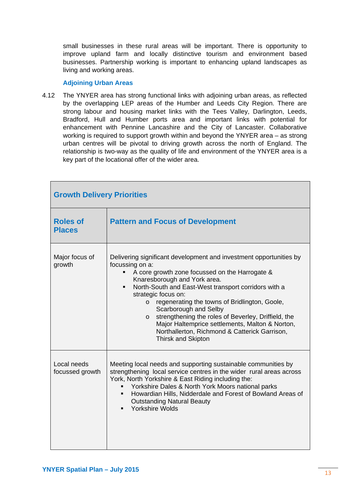small businesses in these rural areas will be important. There is opportunity to improve upland farm and locally distinctive tourism and environment based businesses. Partnership working is important to enhancing upland landscapes as living and working areas.

#### **Adjoining Urban Areas**

4.12 The YNYER area has strong functional links with adjoining urban areas, as reflected by the overlapping LEP areas of the Humber and Leeds City Region. There are strong labour and housing market links with the Tees Valley, Darlington, Leeds, Bradford, Hull and Humber ports area and important links with potential for enhancement with Pennine Lancashire and the City of Lancaster. Collaborative working is required to support growth within and beyond the YNYER area – as strong urban centres will be pivotal to driving growth across the north of England. The relationship is two-way as the quality of life and environment of the YNYER area is a key part of the locational offer of the wider area.

| <b>Growth Delivery Priorities</b> |                                                                                                                                                                                                                                                                                                                                                                                                                                                                                                                                                     |  |
|-----------------------------------|-----------------------------------------------------------------------------------------------------------------------------------------------------------------------------------------------------------------------------------------------------------------------------------------------------------------------------------------------------------------------------------------------------------------------------------------------------------------------------------------------------------------------------------------------------|--|
| <b>Roles of</b><br><b>Places</b>  | <b>Pattern and Focus of Development</b>                                                                                                                                                                                                                                                                                                                                                                                                                                                                                                             |  |
| Major focus of<br>growth          | Delivering significant development and investment opportunities by<br>focussing on a:<br>A core growth zone focussed on the Harrogate &<br>Knaresborough and York area.<br>North-South and East-West transport corridors with a<br>٠<br>strategic focus on:<br>regenerating the towns of Bridlington, Goole,<br>$\circ$<br>Scarborough and Selby<br>strengthening the roles of Beverley, Driffield, the<br>$\circ$<br>Major Haltemprice settlements, Malton & Norton,<br>Northallerton, Richmond & Catterick Garrison,<br><b>Thirsk and Skipton</b> |  |
| Local needs<br>focussed growth    | Meeting local needs and supporting sustainable communities by<br>strengthening local service centres in the wider rural areas across<br>York, North Yorkshire & East Riding including the:<br>Yorkshire Dales & North York Moors national parks<br>Howardian Hills, Nidderdale and Forest of Bowland Areas of<br><b>Outstanding Natural Beauty</b><br><b>Yorkshire Wolds</b>                                                                                                                                                                        |  |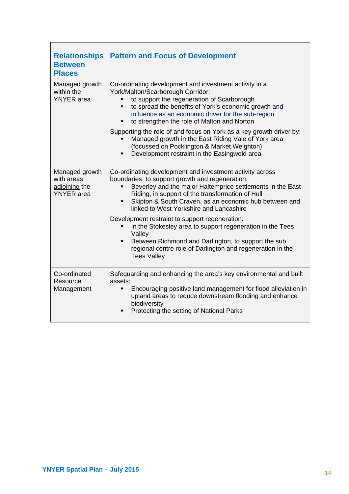| <b>Relationships</b><br><b>Between</b><br><b>Places</b>            | <b>Pattern and Focus of Development</b>                                                                                                                                                                                                                                                                                                |  |
|--------------------------------------------------------------------|----------------------------------------------------------------------------------------------------------------------------------------------------------------------------------------------------------------------------------------------------------------------------------------------------------------------------------------|--|
| Managed growth<br>within the<br><b>YNYER</b> area                  | Co-ordinating development and investment activity in a<br>York/Malton/Scarborough Corridor:<br>to support the regeneration of Scarborough<br>to spread the benefits of York's economic growth and<br>influence as an economic driver for the sub-region<br>to strengthen the role of Malton and Norton                                 |  |
|                                                                    | Supporting the role of and focus on York as a key growth driver by:<br>Managed growth in the East Riding Vale of York area<br>(focussed on Pocklington & Market Weighton)<br>Development restraint in the Easingwold area                                                                                                              |  |
| Managed growth<br>with areas<br>adjoining the<br><b>YNYER</b> area | Co-ordinating development and investment activity across<br>boundaries to support growth and regeneration:<br>Beverley and the major Haltemprice settlements in the East<br>Riding, in support of the transformation of Hull<br>Skipton & South Craven, as an economic hub between and<br>٠<br>linked to West Yorkshire and Lancashire |  |
|                                                                    | Development restraint to support regeneration:<br>In the Stokesley area to support regeneration in the Tees<br>Valley<br>Between Richmond and Darlington, to support the sub<br>$\blacksquare$<br>regional centre role of Darlington and regeneration in the<br><b>Tees Valley</b>                                                     |  |
| Co-ordinated<br>Resource<br>Management                             | Safeguarding and enhancing the area's key environmental and built<br>assets:<br>Encouraging positive land management for flood alleviation in<br>upland areas to reduce downstream flooding and enhance<br>biodiversity<br>Protecting the setting of National Parks                                                                    |  |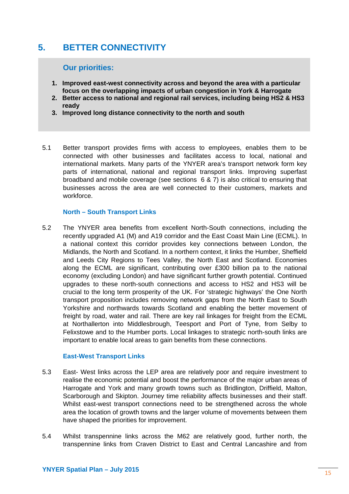# **5. BETTER CONNECTIVITY**

#### **Our priorities:**

- **1. Improved east-west connectivity across and beyond the area with a particular focus on the overlapping impacts of urban congestion in York & Harrogate**
- **2. Better access to national and regional rail services, including being HS2 & HS3 ready**
- **3. Improved long distance connectivity to the north and south**
- 5.1 Better transport provides firms with access to employees, enables them to be connected with other businesses and facilitates access to local, national and international markets. Many parts of the YNYER area's transport network form key parts of international, national and regional transport links. Improving superfast broadband and mobile coverage (see sections 6 & 7) is also critical to ensuring that businesses across the area are well connected to their customers, markets and workforce.

#### **North – South Transport Links**

5.2 The YNYER area benefits from excellent North-South connections, including the recently upgraded A1 (M) and A19 corridor and the East Coast Main Line (ECML). In a national context this corridor provides key connections between London, the Midlands, the North and Scotland. In a northern context, it links the Humber, Sheffield and Leeds City Regions to Tees Valley, the North East and Scotland. Economies along the ECML are significant, contributing over £300 billion pa to the national economy (excluding London) and have significant further growth potential. Continued upgrades to these north-south connections and access to HS2 and HS3 will be crucial to the long term prosperity of the UK. For 'strategic highways' the One North transport proposition includes removing network gaps from the North East to South Yorkshire and northwards towards Scotland and enabling the better movement of freight by road, water and rail. There are key rail linkages for freight from the ECML at Northallerton into Middlesbrough, Teesport and Port of Tyne, from Selby to Felixstowe and to the Humber ports. Local linkages to strategic north-south links are important to enable local areas to gain benefits from these connections.

#### **East-West Transport Links**

- 5.3 East- West links across the LEP area are relatively poor and require investment to realise the economic potential and boost the performance of the major urban areas of Harrogate and York and many growth towns such as Bridlington, Driffield, Malton, Scarborough and Skipton. Journey time reliability affects businesses and their staff. Whilst east-west transport connections need to be strengthened across the whole area the location of growth towns and the larger volume of movements between them have shaped the priorities for improvement.
- 5.4 Whilst transpennine links across the M62 are relatively good, further north, the transpennine links from Craven District to East and Central Lancashire and from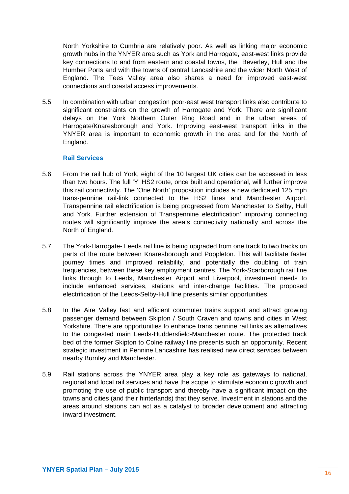North Yorkshire to Cumbria are relatively poor. As well as linking major economic growth hubs in the YNYER area such as York and Harrogate, east-west links provide key connections to and from eastern and coastal towns, the Beverley, Hull and the Humber Ports and with the towns of central Lancashire and the wider North West of England. The Tees Valley area also shares a need for improved east-west connections and coastal access improvements.

5.5 In combination with urban congestion poor-east west transport links also contribute to significant constraints on the growth of Harrogate and York. There are significant delays on the York Northern Outer Ring Road and in the urban areas of Harrogate/Knaresborough and York. Improving east-west transport links in the YNYER area is important to economic growth in the area and for the North of England.

#### **Rail Services**

- 5.6 From the rail hub of York, eight of the 10 largest UK cities can be accessed in less than two hours. The full 'Y' HS2 route, once built and operational, will further improve this rail connectivity. The 'One North' proposition includes a new dedicated 125 mph trans-pennine rail-link connected to the HS2 lines and Manchester Airport. Transpennine rail electrification is being progressed from Manchester to Selby, Hull and York. Further extension of Transpennine electrification' improving connecting routes will significantly improve the area's connectivity nationally and across the North of England.
- 5.7 The York-Harrogate- Leeds rail line is being upgraded from one track to two tracks on parts of the route between Knaresborough and Poppleton. This will facilitate faster journey times and improved reliability, and potentially the doubling of train frequencies, between these key employment centres. The York-Scarborough rail line links through to Leeds, Manchester Airport and Liverpool, investment needs to include enhanced services, stations and inter-change facilities. The proposed electrification of the Leeds-Selby-Hull line presents similar opportunities.
- 5.8 In the Aire Valley fast and efficient commuter trains support and attract growing passenger demand between Skipton / South Craven and towns and cities in West Yorkshire. There are opportunities to enhance trans pennine rail links as alternatives to the congested main Leeds-Huddersfield-Manchester route. The protected track bed of the former Skipton to Colne railway line presents such an opportunity. Recent strategic investment in Pennine Lancashire has realised new direct services between nearby Burnley and Manchester.
- 5.9 Rail stations across the YNYER area play a key role as gateways to national, regional and local rail services and have the scope to stimulate economic growth and promoting the use of public transport and thereby have a significant impact on the towns and cities (and their hinterlands) that they serve. Investment in stations and the areas around stations can act as a catalyst to broader development and attracting inward investment.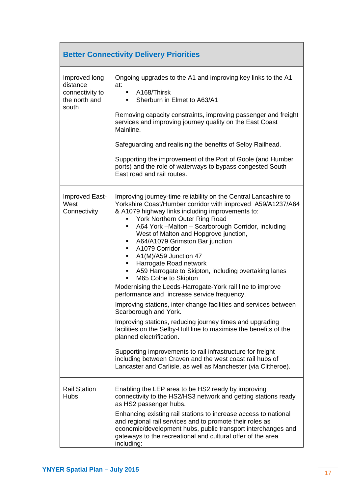| <b>Better Connectivity Delivery Priorities</b>                         |                                                                                                                                                                                                                                                                                                                                                                                                                                                                                                                                                                                                                                                                                                                                                                                                                                                                                                                                                                                                                                                                                                  |  |
|------------------------------------------------------------------------|--------------------------------------------------------------------------------------------------------------------------------------------------------------------------------------------------------------------------------------------------------------------------------------------------------------------------------------------------------------------------------------------------------------------------------------------------------------------------------------------------------------------------------------------------------------------------------------------------------------------------------------------------------------------------------------------------------------------------------------------------------------------------------------------------------------------------------------------------------------------------------------------------------------------------------------------------------------------------------------------------------------------------------------------------------------------------------------------------|--|
| Improved long<br>distance<br>connectivity to<br>the north and<br>south | Ongoing upgrades to the A1 and improving key links to the A1<br>at:<br>A168/Thirsk<br>٠<br>Sherburn in Elmet to A63/A1<br>٠<br>Removing capacity constraints, improving passenger and freight<br>services and improving journey quality on the East Coast<br>Mainline.<br>Safeguarding and realising the benefits of Selby Railhead.<br>Supporting the improvement of the Port of Goole (and Humber<br>ports) and the role of waterways to bypass congested South<br>East road and rail routes.                                                                                                                                                                                                                                                                                                                                                                                                                                                                                                                                                                                                  |  |
| Improved East-<br>West<br>Connectivity                                 | Improving journey-time reliability on the Central Lancashire to<br>Yorkshire Coast/Humber corridor with improved A59/A1237/A64<br>& A1079 highway links including improvements to:<br>York Northern Outer Ring Road<br>A64 York -Malton - Scarborough Corridor, including<br>٠<br>West of Malton and Hopgrove junction,<br>A64/A1079 Grimston Bar junction<br>٠<br>A1079 Corridor<br>A1(M)/A59 Junction 47<br>٠<br>Harrogate Road network<br>A59 Harrogate to Skipton, including overtaking lanes<br>M65 Colne to Skipton<br>٠<br>Modernising the Leeds-Harrogate-York rail line to improve<br>performance and increase service frequency.<br>Improving stations, inter-change facilities and services between<br>Scarborough and York.<br>Improving stations, reducing journey times and upgrading<br>facilities on the Selby-Hull line to maximise the benefits of the<br>planned electrification.<br>Supporting improvements to rail infrastructure for freight<br>including between Craven and the west coast rail hubs of<br>Lancaster and Carlisle, as well as Manchester (via Clitheroe). |  |
| <b>Rail Station</b><br><b>Hubs</b>                                     | Enabling the LEP area to be HS2 ready by improving<br>connectivity to the HS2/HS3 network and getting stations ready<br>as HS2 passenger hubs.<br>Enhancing existing rail stations to increase access to national<br>and regional rail services and to promote their roles as<br>economic/development hubs, public transport interchanges and<br>gateways to the recreational and cultural offer of the area<br>including:                                                                                                                                                                                                                                                                                                                                                                                                                                                                                                                                                                                                                                                                       |  |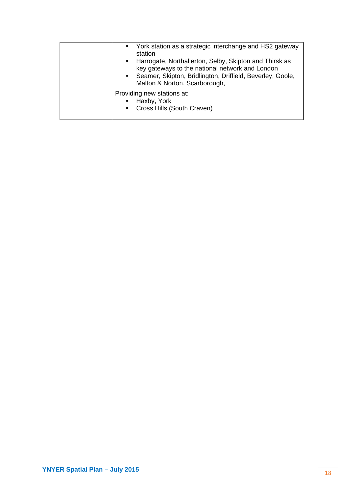| • York station as a strategic interchange and HS2 gateway<br>station<br>• Harrogate, Northallerton, Selby, Skipton and Thirsk as<br>key gateways to the national network and London<br>• Seamer, Skipton, Bridlington, Driffield, Beverley, Goole,<br>Malton & Norton, Scarborough, |
|-------------------------------------------------------------------------------------------------------------------------------------------------------------------------------------------------------------------------------------------------------------------------------------|
| Providing new stations at:<br>Haxby, York<br>• Cross Hills (South Craven)                                                                                                                                                                                                           |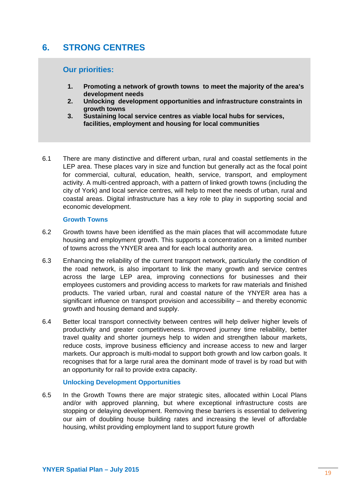# **6. STRONG CENTRES**

#### **Our priorities:**

- **1. Promoting a network of growth towns to meet the majority of the area's development needs**
- **2. Unlocking development opportunities and infrastructure constraints in growth towns**
- **3. Sustaining local service centres as viable local hubs for services, facilities, employment and housing for local communities**
- 6.1 There are many distinctive and different urban, rural and coastal settlements in the LEP area. These places vary in size and function but generally act as the focal point for commercial, cultural, education, health, service, transport, and employment activity. A multi-centred approach, with a pattern of linked growth towns (including the city of York) and local service centres, will help to meet the needs of urban, rural and coastal areas. Digital infrastructure has a key role to play in supporting social and economic development.

#### **Growth Towns**

- 6.2 Growth towns have been identified as the main places that will accommodate future housing and employment growth. This supports a concentration on a limited number of towns across the YNYER area and for each local authority area.
- 6.3 Enhancing the reliability of the current transport network, particularly the condition of the road network, is also important to link the many growth and service centres across the large LEP area, improving connections for businesses and their employees customers and providing access to markets for raw materials and finished products. The varied urban, rural and coastal nature of the YNYER area has a significant influence on transport provision and accessibility – and thereby economic growth and housing demand and supply.
- 6.4 Better local transport connectivity between centres will help deliver higher levels of productivity and greater competitiveness. Improved journey time reliability, better travel quality and shorter journeys help to widen and strengthen labour markets, reduce costs, improve business efficiency and increase access to new and larger markets. Our approach is multi-modal to support both growth and low carbon goals. It recognises that for a large rural area the dominant mode of travel is by road but with an opportunity for rail to provide extra capacity.

#### **Unlocking Development Opportunities**

6.5 In the Growth Towns there are major strategic sites, allocated within Local Plans and/or with approved planning, but where exceptional infrastructure costs are stopping or delaying development. Removing these barriers is essential to delivering our aim of doubling house building rates and increasing the level of affordable housing, whilst providing employment land to support future growth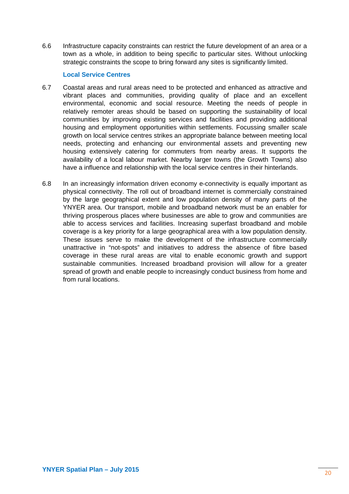6.6 Infrastructure capacity constraints can restrict the future development of an area or a town as a whole, in addition to being specific to particular sites. Without unlocking strategic constraints the scope to bring forward any sites is significantly limited.

#### **Local Service Centres**

- 6.7 Coastal areas and rural areas need to be protected and enhanced as attractive and vibrant places and communities, providing quality of place and an excellent environmental, economic and social resource. Meeting the needs of people in relatively remoter areas should be based on supporting the sustainability of local communities by improving existing services and facilities and providing additional housing and employment opportunities within settlements. Focussing smaller scale growth on local service centres strikes an appropriate balance between meeting local needs, protecting and enhancing our environmental assets and preventing new housing extensively catering for commuters from nearby areas. It supports the availability of a local labour market. Nearby larger towns (the Growth Towns) also have a influence and relationship with the local service centres in their hinterlands.
- 6.8 In an increasingly information driven economy e-connectivity is equally important as physical connectivity. The roll out of broadband internet is commercially constrained by the large geographical extent and low population density of many parts of the YNYER area. Our transport, mobile and broadband network must be an enabler for thriving prosperous places where businesses are able to grow and communities are able to access services and facilities. Increasing superfast broadband and mobile coverage is a key priority for a large geographical area with a low population density. These issues serve to make the development of the infrastructure commercially unattractive in "not-spots" and initiatives to address the absence of fibre based coverage in these rural areas are vital to enable economic growth and support sustainable communities. Increased broadband provision will allow for a greater spread of growth and enable people to increasingly conduct business from home and from rural locations.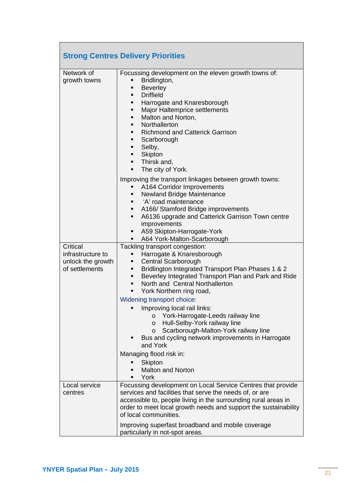|                                                                      | <b>Strong Centres Delivery Priorities</b>                                                                                                                                                                                                                                                                                                                                                                                                                                                                                                                                                                                                                                                                         |
|----------------------------------------------------------------------|-------------------------------------------------------------------------------------------------------------------------------------------------------------------------------------------------------------------------------------------------------------------------------------------------------------------------------------------------------------------------------------------------------------------------------------------------------------------------------------------------------------------------------------------------------------------------------------------------------------------------------------------------------------------------------------------------------------------|
| Network of<br>growth towns                                           | Focussing development on the eleven growth towns of:<br>Bridlington,<br>п<br><b>Beverley</b><br>٠<br><b>Driffield</b><br>٠<br>Harrogate and Knaresborough<br>٠<br>Major Haltemprice settlements<br>٠<br>Malton and Norton,<br>٠<br>Northallerton<br>٠<br><b>Richmond and Catterick Garrison</b><br>٠<br>Scarborough<br>٠<br>Selby,<br>٠<br>Skipton<br>٠<br>Thirsk and,<br>The city of York.<br>Improving the transport linkages between growth towns:<br>A164 Corridor Improvements<br>٠<br><b>Newland Bridge Maintenance</b><br>٠<br>'A' road maintenance<br>A166/ Stamford Bridge improvements<br>٠<br>A6136 upgrade and Catterick Garrison Town centre<br>٠<br>improvements<br>A59 Skipton-Harrogate-York<br>٠ |
|                                                                      | A64 York-Malton-Scarborough<br>٠                                                                                                                                                                                                                                                                                                                                                                                                                                                                                                                                                                                                                                                                                  |
| Critical<br>infrastructure to<br>unlock the growth<br>of settlements | Tackling transport congestion:<br>Harrogate & Knaresborough<br>٠<br>Central Scarborough<br>٠<br>Bridlington Integrated Transport Plan Phases 1 & 2<br>٠<br>Beverley Integrated Transport Plan and Park and Ride<br>٠<br>North and Central Northallerton<br>$\blacksquare$<br>York Northern ring road,<br>٠<br>Widening transport choice:<br>Improving local rail links:<br>York-Harrogate-Leeds railway line<br>$\circ$                                                                                                                                                                                                                                                                                           |
|                                                                      | Hull-Selby-York railway line<br>$\circ$<br>Scarborough-Malton-York railway line<br>$\circ$<br>Bus and cycling network improvements in Harrogate<br>and York                                                                                                                                                                                                                                                                                                                                                                                                                                                                                                                                                       |
|                                                                      | Managing flood risk in:                                                                                                                                                                                                                                                                                                                                                                                                                                                                                                                                                                                                                                                                                           |
|                                                                      | Skipton<br><b>Malton and Norton</b><br>York<br>$\blacksquare$                                                                                                                                                                                                                                                                                                                                                                                                                                                                                                                                                                                                                                                     |
| Local service<br>centres                                             | Focussing development on Local Service Centres that provide<br>services and facilities that serve the needs of, or are<br>accessible to, people living in the surrounding rural areas in<br>order to meet local growth needs and support the sustainability<br>of local communities.                                                                                                                                                                                                                                                                                                                                                                                                                              |
|                                                                      | Improving superfast broadband and mobile coverage<br>particularly in not-spot areas.                                                                                                                                                                                                                                                                                                                                                                                                                                                                                                                                                                                                                              |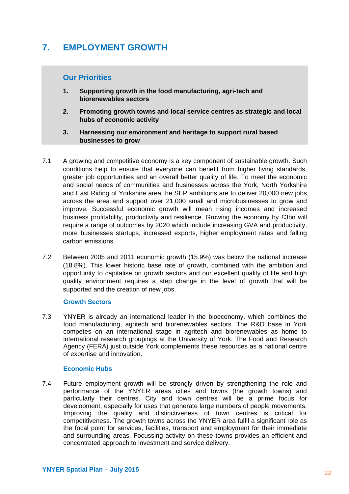# **7. EMPLOYMENT GROWTH**

### **Our Priorities**

- **1. Supporting growth in the food manufacturing, agri-tech and biorenewables sectors**
- **2. Promoting growth towns and local service centres as strategic and local hubs of economic activity**
- **3. Harnessing our environment and heritage to support rural based businesses to grow**
- 7.1 A growing and competitive economy is a key component of sustainable growth. Such conditions help to ensure that everyone can benefit from higher living standards, greater job opportunities and an overall better quality of life. To meet the economic and social needs of communities and businesses across the York, North Yorkshire and East Riding of Yorkshire area the SEP ambitions are to deliver 20,000 new jobs across the area and support over 21,000 small and microbusinesses to grow and improve. Successful economic growth will mean rising incomes and increased business profitability, productivity and resilience. Growing the economy by £3bn will require a range of outcomes by 2020 which include increasing GVA and productivity, more businesses startups, increased exports, higher employment rates and falling carbon emissions.
- 7.2 Between 2005 and 2011 economic growth (15.9%) was below the national increase (18.8%). This lower historic base rate of growth, combined with the ambition and opportunity to capitalise on growth sectors and our excellent quality of life and high quality environment requires a step change in the level of growth that will be supported and the creation of new jobs.

#### **Growth Sectors**

7.3 YNYER is already an international leader in the bioeconomy, which combines the food manufacturing, agritech and biorenewables sectors. The R&D base in York competes on an international stage in agritech and biorenewables as home to international research groupings at the University of York. The Food and Research Agency (FERA) just outside York complements these resources as a national centre of expertise and innovation.

#### **Economic Hubs**

7.4 Future employment growth will be strongly driven by strengthening the role and performance of the YNYER areas cities and towns (the growth towns) and particularly their centres. City and town centres will be a prime focus for development, especially for uses that generate large numbers of people movements. Improving the quality and distinctiveness of town centres is critical for competitiveness. The growth towns across the YNYER area fulfil a significant role as the focal point for services, facilities, transport and employment for their immediate and surrounding areas. Focussing activity on these towns provides an efficient and concentrated approach to investment and service delivery.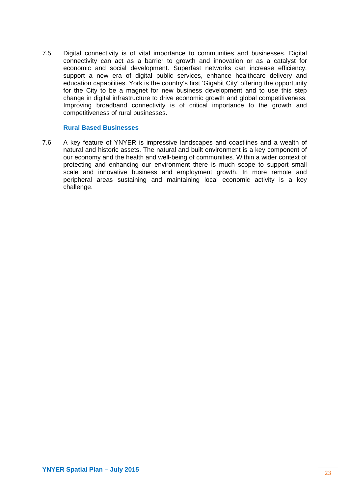7.5 Digital connectivity is of vital importance to communities and businesses. Digital connectivity can act as a barrier to growth and innovation or as a catalyst for economic and social development. Superfast networks can increase efficiency, support a new era of digital public services, enhance healthcare delivery and education capabilities. York is the country's first 'Gigabit City' offering the opportunity for the City to be a magnet for new business development and to use this step change in digital infrastructure to drive economic growth and global competitiveness. Improving broadband connectivity is of critical importance to the growth and competitiveness of rural businesses.

#### **Rural Based Businesses**

7.6 A key feature of YNYER is impressive landscapes and coastlines and a wealth of natural and historic assets. The natural and built environment is a key component of our economy and the health and well-being of communities. Within a wider context of protecting and enhancing our environment there is much scope to support small scale and innovative business and employment growth. In more remote and peripheral areas sustaining and maintaining local economic activity is a key challenge.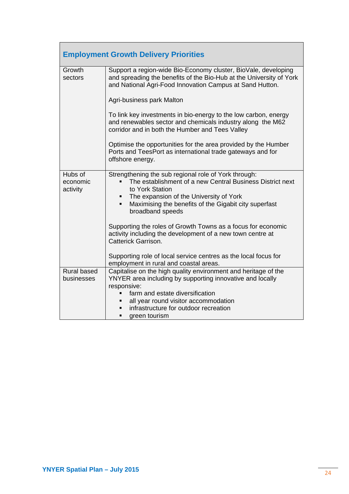| <b>Employment Growth Delivery Priorities</b> |                                                                                                                                                                                                                                                                                      |  |
|----------------------------------------------|--------------------------------------------------------------------------------------------------------------------------------------------------------------------------------------------------------------------------------------------------------------------------------------|--|
| Growth<br>sectors                            | Support a region-wide Bio-Economy cluster, BioVale, developing<br>and spreading the benefits of the Bio-Hub at the University of York<br>and National Agri-Food Innovation Campus at Sand Hutton.                                                                                    |  |
|                                              | Agri-business park Malton                                                                                                                                                                                                                                                            |  |
|                                              | To link key investments in bio-energy to the low carbon, energy<br>and renewables sector and chemicals industry along the M62<br>corridor and in both the Humber and Tees Valley                                                                                                     |  |
|                                              | Optimise the opportunities for the area provided by the Humber<br>Ports and TeesPort as international trade gateways and for<br>offshore energy.                                                                                                                                     |  |
| Hubs of<br>economic<br>activity              | Strengthening the sub regional role of York through:<br>The establishment of a new Central Business District next<br>to York Station<br>The expansion of the University of York<br>Maximising the benefits of the Gigabit city superfast<br>٠<br>broadband speeds                    |  |
|                                              | Supporting the roles of Growth Towns as a focus for economic<br>activity including the development of a new town centre at<br>Catterick Garrison.                                                                                                                                    |  |
|                                              | Supporting role of local service centres as the local focus for<br>employment in rural and coastal areas.                                                                                                                                                                            |  |
| <b>Rural based</b><br>businesses             | Capitalise on the high quality environment and heritage of the<br>YNYER area including by supporting innovative and locally<br>responsive:<br>farm and estate diversification<br>all year round visitor accommodation<br>infrastructure for outdoor recreation<br>green tourism<br>п |  |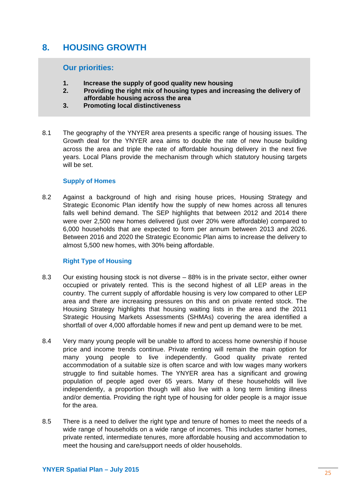## **8. HOUSING GROWTH**

#### **Our priorities:**

- **1. Increase the supply of good quality new housing**
- **2. Providing the right mix of housing types and increasing the delivery of affordable housing across the area**
- **3. Promoting local distinctiveness**
- 8.1 The geography of the YNYER area presents a specific range of housing issues. The Growth deal for the YNYER area aims to double the rate of new house building across the area and triple the rate of affordable housing delivery in the next five years. Local Plans provide the mechanism through which statutory housing targets will be set.

#### **Supply of Homes**

8.2 Against a background of high and rising house prices, Housing Strategy and Strategic Economic Plan identify how the supply of new homes across all tenures falls well behind demand. The SEP highlights that between 2012 and 2014 there were over 2,500 new homes delivered (just over 20% were affordable) compared to 6,000 households that are expected to form per annum between 2013 and 2026. Between 2016 and 2020 the Strategic Economic Plan aims to increase the delivery to almost 5,500 new homes, with 30% being affordable.

#### **Right Type of Housing**

- 8.3 Our existing housing stock is not diverse 88% is in the private sector, either owner occupied or privately rented. This is the second highest of all LEP areas in the country. The current supply of affordable housing is very low compared to other LEP area and there are increasing pressures on this and on private rented stock. The Housing Strategy highlights that housing waiting lists in the area and the 2011 Strategic Housing Markets Assessments (SHMAs) covering the area identified a shortfall of over 4,000 affordable homes if new and pent up demand were to be met.
- 8.4 Very many young people will be unable to afford to access home ownership if house price and income trends continue. Private renting will remain the main option for many young people to live independently. Good quality private rented accommodation of a suitable size is often scarce and with low wages many workers struggle to find suitable homes. The YNYER area has a significant and growing population of people aged over 65 years. Many of these households will live independently, a proportion though will also live with a long term limiting illness and/or dementia. Providing the right type of housing for older people is a major issue for the area.
- 8.5 There is a need to deliver the right type and tenure of homes to meet the needs of a wide range of households on a wide range of incomes. This includes starter homes, private rented, intermediate tenures, more affordable housing and accommodation to meet the housing and care/support needs of older households.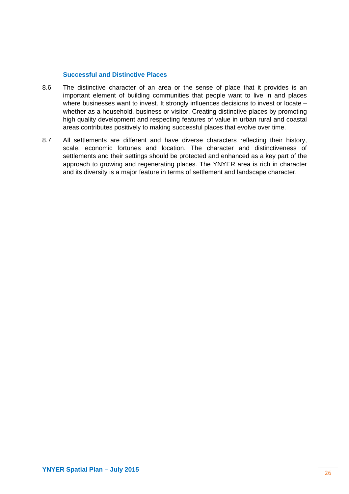#### **Successful and Distinctive Places**

- 8.6 The distinctive character of an area or the sense of place that it provides is an important element of building communities that people want to live in and places where businesses want to invest. It strongly influences decisions to invest or locate whether as a household, business or visitor. Creating distinctive places by promoting high quality development and respecting features of value in urban rural and coastal areas contributes positively to making successful places that evolve over time.
- 8.7 All settlements are different and have diverse characters reflecting their history, scale, economic fortunes and location. The character and distinctiveness of settlements and their settings should be protected and enhanced as a key part of the approach to growing and regenerating places. The YNYER area is rich in character and its diversity is a major feature in terms of settlement and landscape character.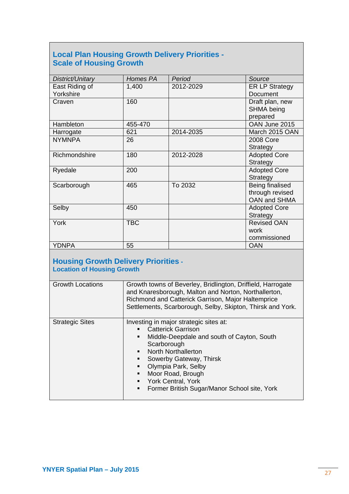## **Local Plan Housing Growth Delivery Priorities - Scale of Housing Growth**

| District/Unitary | Homes PA   | Period    | Source                |
|------------------|------------|-----------|-----------------------|
| East Riding of   | 1,400      | 2012-2029 | <b>ER LP Strategy</b> |
| Yorkshire        |            |           | <b>Document</b>       |
| Craven           | 160        |           | Draft plan, new       |
|                  |            |           | <b>SHMA</b> being     |
|                  |            |           | prepared              |
| Hambleton        | 455-470    |           | OAN June 2015         |
| Harrogate        | 621        | 2014-2035 | March 2015 OAN        |
| <b>NYMNPA</b>    | 26         |           | <b>2008 Core</b>      |
|                  |            |           | Strategy              |
| Richmondshire    | 180        | 2012-2028 | <b>Adopted Core</b>   |
|                  |            |           | Strategy              |
| Ryedale          | 200        |           | <b>Adopted Core</b>   |
|                  |            |           | Strategy              |
| Scarborough      | 465        | To 2032   | Being finalised       |
|                  |            |           | through revised       |
|                  |            |           | <b>OAN and SHMA</b>   |
| Selby            | 450        |           | <b>Adopted Core</b>   |
|                  |            |           | Strategy              |
| York             | <b>TBC</b> |           | <b>Revised OAN</b>    |
|                  |            |           | work                  |
|                  |            |           | commissioned          |
| <b>YDNPA</b>     | 55         |           | <b>OAN</b>            |

### **Housing Growth Delivery Priorities - Location of Housing Growth**

| <b>Growth Locations</b> | Growth towns of Beverley, Bridlington, Driffield, Harrogate<br>and Knaresborough, Malton and Norton, Northallerton,<br>Richmond and Catterick Garrison, Major Haltemprice<br>Settlements, Scarborough, Selby, Skipton, Thirsk and York.                                                                                                                       |
|-------------------------|---------------------------------------------------------------------------------------------------------------------------------------------------------------------------------------------------------------------------------------------------------------------------------------------------------------------------------------------------------------|
| <b>Strategic Sites</b>  | Investing in major strategic sites at:<br><b>Catterick Garrison</b><br>$\blacksquare$<br>Middle-Deepdale and south of Cayton, South<br>٠<br>Scarborough<br>• North Northallerton<br>Sowerby Gateway, Thirsk<br>٠<br>Olympia Park, Selby<br>٠<br>Moor Road, Brough<br>٠<br><b>York Central, York</b><br>٠<br>Former British Sugar/Manor School site, York<br>٠ |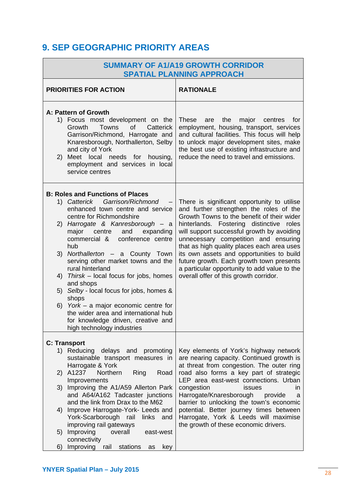# **9. SEP GEOGRAPHIC PRIORITY AREAS**

| <b>SUMMARY OF A1/A19 GROWTH CORRIDOR</b><br><b>SPATIAL PLANNING APPROACH</b>                                                                                                                                                                                                                                                                     |                                                                                                                                                                                                                                                                                                                                                                                                               |  |
|--------------------------------------------------------------------------------------------------------------------------------------------------------------------------------------------------------------------------------------------------------------------------------------------------------------------------------------------------|---------------------------------------------------------------------------------------------------------------------------------------------------------------------------------------------------------------------------------------------------------------------------------------------------------------------------------------------------------------------------------------------------------------|--|
| <b>PRIORITIES FOR ACTION</b>                                                                                                                                                                                                                                                                                                                     | <b>RATIONALE</b>                                                                                                                                                                                                                                                                                                                                                                                              |  |
| A: Pattern of Growth<br>1) Focus most development on the<br>Growth<br>Towns<br><b>of</b><br>Catterick<br>Garrison/Richmond, Harrogate and<br>Knaresborough, Northallerton, Selby<br>and city of York<br>2) Meet local needs for<br>housing,<br>employment and services in local<br>service centres                                               | <b>These</b><br>the<br>major<br>for<br>are<br>centres<br>employment, housing, transport, services<br>and cultural facilities. This focus will help<br>to unlock major development sites, make<br>the best use of existing infrastructure and<br>reduce the need to travel and emissions.                                                                                                                      |  |
| <b>B: Roles and Functions of Places</b><br>Garrison/Richmond<br>1) Catterick<br>enhanced town centre and service<br>centre for Richmondshire<br>Harrogate & Kanresborough - a<br>2)<br>major<br>centre<br>and<br>expanding<br>commercial &<br>conference centre<br>hub<br>3) Northallerton - a County Town<br>serving other market towns and the | There is significant opportunity to utilise<br>and further strengthen the roles of the<br>Growth Towns to the benefit of their wider<br>hinterlands. Fostering distinctive roles<br>will support successful growth by avoiding<br>unnecessary competition and ensuring<br>that as high quality places each area uses<br>its own assets and opportunities to build<br>future growth. Each growth town presents |  |
| rural hinterland<br>Thirsk $-$ local focus for jobs, homes<br>4)<br>and shops<br>5) Selby - local focus for jobs, homes &<br>shops<br>6) York – a major economic centre for<br>the wider area and international hub<br>for knowledge driven, creative and<br>high technology industries                                                          | a particular opportunity to add value to the<br>overall offer of this growth corridor.                                                                                                                                                                                                                                                                                                                        |  |
|                                                                                                                                                                                                                                                                                                                                                  |                                                                                                                                                                                                                                                                                                                                                                                                               |  |
| <b>C: Transport</b><br>1) Reducing delays and promoting<br>sustainable transport measures in<br>Harrogate & York                                                                                                                                                                                                                                 | Key elements of York's highway network<br>are nearing capacity. Continued growth is<br>at threat from congestion. The outer ring                                                                                                                                                                                                                                                                              |  |
| 2) A1237<br>Northern<br>Ring<br>Road<br>Improvements<br>3) Improving the A1/A59 Allerton Park<br>and A64/A162 Tadcaster junctions                                                                                                                                                                                                                | road also forms a key part of strategic<br>LEP area east-west connections. Urban<br>congestion<br>issues<br>in.<br>Harrogate/Knaresborough<br>provide<br>a                                                                                                                                                                                                                                                    |  |
| and the link from Drax to the M62<br>4) Improve Harrogate-York- Leeds and<br>York-Scarborough rail<br>links and<br>improving rail gateways                                                                                                                                                                                                       | barrier to unlocking the town's economic<br>potential. Better journey times between<br>Harrogate, York & Leeds will maximise<br>the growth of these economic drivers.                                                                                                                                                                                                                                         |  |
| 5) Improving<br>overall<br>east-west<br>connectivity<br>Improving rail                                                                                                                                                                                                                                                                           |                                                                                                                                                                                                                                                                                                                                                                                                               |  |
| stations<br>6)<br>key<br>as                                                                                                                                                                                                                                                                                                                      |                                                                                                                                                                                                                                                                                                                                                                                                               |  |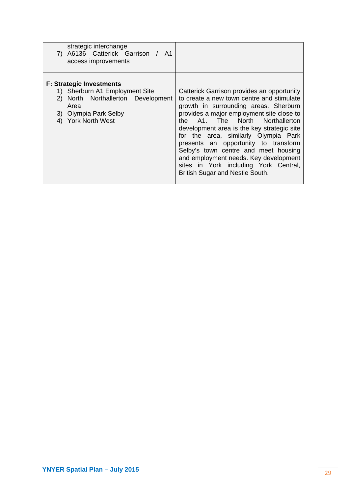| strategic interchange<br>7) A6136 Catterick Garrison / A1<br>access improvements                                                                               |                                                                                                                                                                                                                                                                                                                                                                                                                                                                                                             |
|----------------------------------------------------------------------------------------------------------------------------------------------------------------|-------------------------------------------------------------------------------------------------------------------------------------------------------------------------------------------------------------------------------------------------------------------------------------------------------------------------------------------------------------------------------------------------------------------------------------------------------------------------------------------------------------|
| <b>F: Strategic Investments</b><br>1) Sherburn A1 Employment Site<br>2) North Northallerton Development<br>Area<br>3) Olympia Park Selby<br>4) York North West | Catterick Garrison provides an opportunity<br>to create a new town centre and stimulate<br>growth in surrounding areas. Sherburn<br>provides a major employment site close to<br>the A1. The North Northallerton<br>development area is the key strategic site<br>for the area, similarly Olympia Park<br>presents an opportunity to transform<br>Selby's town centre and meet housing<br>and employment needs. Key development<br>sites in York including York Central,<br>British Sugar and Nestle South. |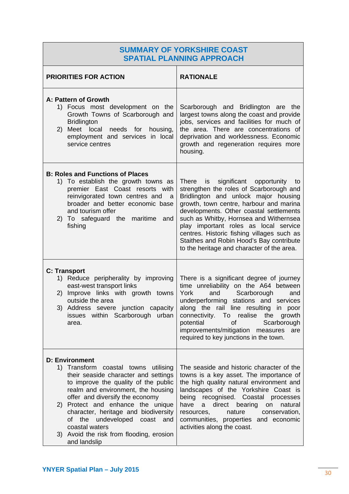## **SUMMARY OF YORKSHIRE COAST SPATIAL PLANNING APPROACH**

| <b>PRIORITIES FOR ACTION</b>                                                                                                                                                                                                                                                                                                                                                                                                  | <b>RATIONALE</b>                                                                                                                                                                                                                                                                                                                                                                                                                              |
|-------------------------------------------------------------------------------------------------------------------------------------------------------------------------------------------------------------------------------------------------------------------------------------------------------------------------------------------------------------------------------------------------------------------------------|-----------------------------------------------------------------------------------------------------------------------------------------------------------------------------------------------------------------------------------------------------------------------------------------------------------------------------------------------------------------------------------------------------------------------------------------------|
| A: Pattern of Growth<br>1) Focus most development on the<br>Growth Towns of Scarborough and<br><b>Bridlington</b><br>2) Meet local<br>needs for housing,<br>employment and services in local<br>service centres                                                                                                                                                                                                               | Scarborough and Bridlington are the<br>largest towns along the coast and provide<br>jobs, services and facilities for much of<br>the area. There are concentrations of<br>deprivation and worklessness. Economic<br>growth and regeneration requires more<br>housing.                                                                                                                                                                         |
| <b>B: Roles and Functions of Places</b><br>1) To establish the growth towns as<br>premier East Coast resorts with<br>reinvigorated town centres and<br>a<br>broader and better economic base<br>and tourism offer<br>To safeguard the maritime<br>2)<br>and<br>fishing                                                                                                                                                        | significant opportunity to<br>There<br>is<br>strengthen the roles of Scarborough and<br>Bridlington and unlock major housing<br>growth, town centre, harbour and marina<br>developments. Other coastal settlements<br>such as Whitby, Hornsea and Withernsea<br>play important roles as local service<br>centres. Historic fishing villages such as<br>Staithes and Robin Hood's Bay contribute<br>to the heritage and character of the area. |
| <b>C: Transport</b><br>1) Reduce peripherality by improving<br>east-west transport links<br>2) Improve links with growth towns<br>outside the area<br>3) Address severe junction capacity<br>issues within Scarborough urban<br>area.                                                                                                                                                                                         | There is a significant degree of journey<br>time unreliability on the A64 between<br>York<br>Scarborough<br>and<br>and<br>underperforming stations and services<br>along the rail line resulting in poor<br>connectivity. To realise the<br>growth<br>potential<br>Scarborough<br><b>of</b><br>improvements/mitigation measures<br>are<br>required to key junctions in the town.                                                              |
| <b>D: Environment</b><br>1) Transform coastal towns utilising<br>their seaside character and settings<br>to improve the quality of the public<br>realm and environment, the housing<br>offer and diversify the economy<br>2) Protect and enhance the unique<br>character, heritage and biodiversity<br>the<br>undeveloped<br>coast<br>of<br>and<br>coastal waters<br>3) Avoid the risk from flooding, erosion<br>and landslip | The seaside and historic character of the<br>towns is a key asset. The importance of<br>the high quality natural environment and<br>landscapes of the Yorkshire Coast is<br>being<br>recognised. Coastal<br>processes<br>have<br>direct<br>bearing<br>natural<br>on<br>a<br>conservation,<br>nature<br>resources,<br>communities, properties and economic<br>activities along the coast.                                                      |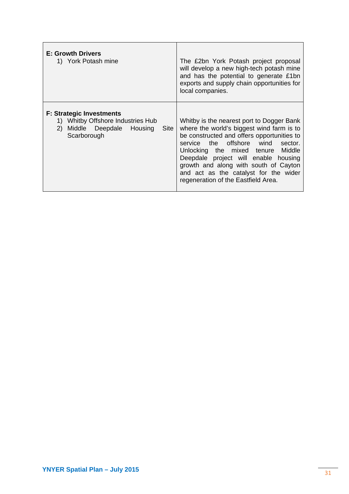| <b>E: Growth Drivers</b><br>1) York Potash mine                                                                               | The £2bn York Potash project proposal<br>will develop a new high-tech potash mine<br>and has the potential to generate £1bn<br>exports and supply chain opportunities for<br>local companies.                                                                                                                                                                                   |
|-------------------------------------------------------------------------------------------------------------------------------|---------------------------------------------------------------------------------------------------------------------------------------------------------------------------------------------------------------------------------------------------------------------------------------------------------------------------------------------------------------------------------|
| <b>F: Strategic Investments</b><br>1) Whitby Offshore Industries Hub<br>Middle Deepdale Housing<br>(2)<br>Site<br>Scarborough | Whitby is the nearest port to Dogger Bank<br>where the world's biggest wind farm is to<br>be constructed and offers opportunities to<br>service the offshore wind sector.<br>Unlocking the mixed tenure Middle<br>Deepdale project will enable housing<br>growth and along with south of Cayton<br>and act as the catalyst for the wider<br>regeneration of the Eastfield Area. |

Г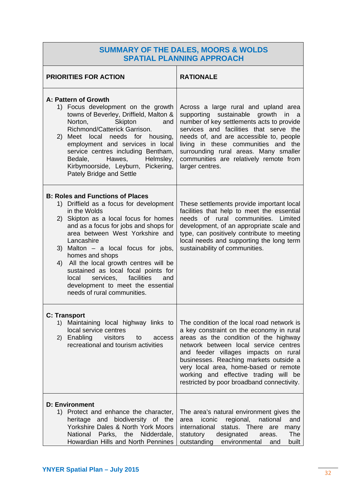## **SUMMARY OF THE DALES, MOORS & WOLDS SPATIAL PLANNING APPROACH**

| <b>PRIORITIES FOR ACTION</b>                                                                                                                                                                                                                                                                                                                                                                                                                                                                       | <b>RATIONALE</b>                                                                                                                                                                                                                                                                                                                                                                           |
|----------------------------------------------------------------------------------------------------------------------------------------------------------------------------------------------------------------------------------------------------------------------------------------------------------------------------------------------------------------------------------------------------------------------------------------------------------------------------------------------------|--------------------------------------------------------------------------------------------------------------------------------------------------------------------------------------------------------------------------------------------------------------------------------------------------------------------------------------------------------------------------------------------|
| A: Pattern of Growth<br>1) Focus development on the growth<br>towns of Beverley, Driffield, Malton &<br>Norton,<br>Skipton<br>and<br>Richmond/Catterick Garrison.<br>2) Meet local needs for housing,<br>employment and services in local<br>service centres including Bentham,<br>Bedale,<br>Hawes,<br>Helmsley,<br>Kirbymoorside, Leyburn, Pickering,<br>Pately Bridge and Settle                                                                                                                | Across a large rural and upland area<br>supporting sustainable growth<br>in a<br>number of key settlements acts to provide<br>services and facilities that serve the<br>needs of, and are accessible to, people<br>living in these communities and the<br>surrounding rural areas. Many smaller<br>communities are relatively remote from<br>larger centres.                               |
| <b>B: Roles and Functions of Places</b><br>1) Driffield as a focus for development<br>in the Wolds<br>2) Skipton as a local focus for homes<br>and as a focus for jobs and shops for<br>area between West Yorkshire and<br>Lancashire<br>3) Malton $-$ a local focus for jobs,<br>homes and shops<br>4) All the local growth centres will be<br>sustained as local focal points for<br>facilities<br>local<br>services,<br>and<br>development to meet the essential<br>needs of rural communities. | These settlements provide important local<br>facilities that help to meet the essential<br>needs of rural communities. Limited<br>development, of an appropriate scale and<br>type, can positively contribute to meeting<br>local needs and supporting the long term<br>sustainability of communities.                                                                                     |
| <b>C: Transport</b><br>1) Maintaining local highway links to<br>local service centres<br>Enabling visitors<br>to<br>2)<br>access<br>recreational and tourism activities                                                                                                                                                                                                                                                                                                                            | The condition of the local road network is<br>a key constraint on the economy in rural<br>areas as the condition of the highway<br>network between local service centres<br>and feeder villages impacts on rural<br>businesses. Reaching markets outside a<br>very local area, home-based or remote<br>working and effective trading will be<br>restricted by poor broadband connectivity. |
| <b>D: Environment</b><br>1) Protect and enhance the character,<br>heritage and biodiversity of the<br>Yorkshire Dales & North York Moors<br>Parks, the Nidderdale,<br>National<br>Howardian Hills and North Pennines                                                                                                                                                                                                                                                                               | The area's natural environment gives the<br>national<br>iconic<br>regional,<br>and<br>area<br>status. There<br>international<br>are<br>many<br>designated<br>The<br>statutory<br>areas.<br>outstanding<br>environmental<br>built<br>and                                                                                                                                                    |